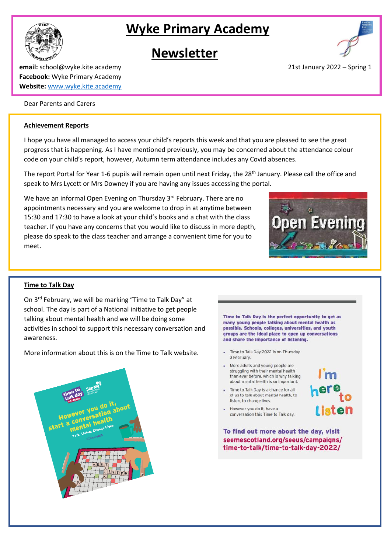# **Wyke Primary Academy**

## **Newsletter**



**email:** school@wyke.kite.academy 2022 – Spring 1 **Facebook:** Wyke Primary Academy **Website:** [www.wyke.kite.academy](http://www.wyke.kite.academy/)

## Dear Parents and Carers

#### **Achievement Reports**

I hope you have all managed to access your child's reports this week and that you are pleased to see the great progress that is happening. As I have mentioned previously, you may be concerned about the attendance colour code on your child's report, however, Autumn term attendance includes any Covid absences.

The report Portal for Year 1-6 pupils will remain open until next Friday, the 28<sup>th</sup> January. Please call the office and speak to Mrs Lycett or Mrs Downey if you are having any issues accessing the portal.

We have an informal Open Evening on Thursday 3<sup>rd</sup> February. There are no appointments necessary and you are welcome to drop in at anytime between 15:30 and 17:30 to have a look at your child's books and a chat with the class teacher. If you have any concerns that you would like to discuss in more depth, please do speak to the class teacher and arrange a convenient time for you to meet.



#### **Time to Talk Day**

On 3rd February, we will be marking "Time to Talk Day" at school. The day is part of a National initiative to get people talking about mental health and we will be doing some activities in school to support this necessary conversation and awareness.

More information about this is on the Time to Talk website.



Time to Talk Day is the perfect opportunity to get as many young people talking about mental health as possible. Schools, colleges, universities, and youth groups are the ideal place to open up conversations and share the importance of listening.

- Time to Talk Day 2022 is on Thursday 3 February.
- . More adults and young people are struggling with their mental health than ever before, which is why talking about mental health is so important.
- . Time to Talk Day is a chance for all of us to talk about mental health, to listen, to change lives.

conversation this Time to Talk day.

However you do it, have a

l isten

To find out more about the day, visit seemescotland.org/seeus/campaigns/ time-to-talk/time-to-talk-day-2022/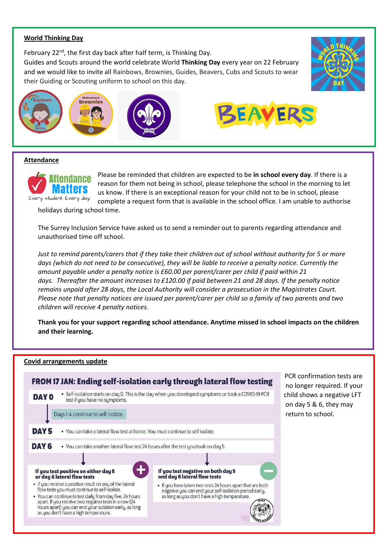## **World Thinking Day**

February 22<sup>nd</sup>, the first day back after half term, is Thinking Day.

Guides and Scouts around the world celebrate World **Thinking Day** every year on 22 February and we would like to invite all Rainbows, Brownies, Guides, Beavers, Cubs and Scouts to wear their Guiding or Scouting uniform to school on this day.



![](_page_1_Picture_4.jpeg)

![](_page_1_Picture_5.jpeg)

#### **Attendance**

![](_page_1_Picture_7.jpeg)

Please be reminded that children are expected to be **in school every day**. If there is a reason for them not being in school, please telephone the school in the morning to let us know. If there is an exceptional reason for your child not to be in school, please complete a request form that is available in the school office. I am unable to authorise

holidays during school time.

The Surrey Inclusion Service have asked us to send a reminder out to parents regarding attendance and unauthorised time off school.

Just to remind parents/carers that if they take their children out of school without authority for 5 or more days (which do not need to be consecutive), they will be liable to receive a penalty notice. Currently the *amount payable under a penalty notice is £60.00 per parent/carer per child if paid within 21* days. Thereafter the amount increases to £120.00 if paid between 21 and 28 days. If the penalty notice *remains unpaid after 28 days, the Local Authority will consider a prosecution in the Magistrates Court.* Please note that penalty notices are issued per parent/carer per child so a family of two parents and two *children will receive 4 penalty notices.*

**Thank you for your support regarding school attendance. Anytime missed in school impacts on the children and their learning.**

## **Covid arrangements update**

![](_page_1_Figure_14.jpeg)

on day 5 & 6, they may